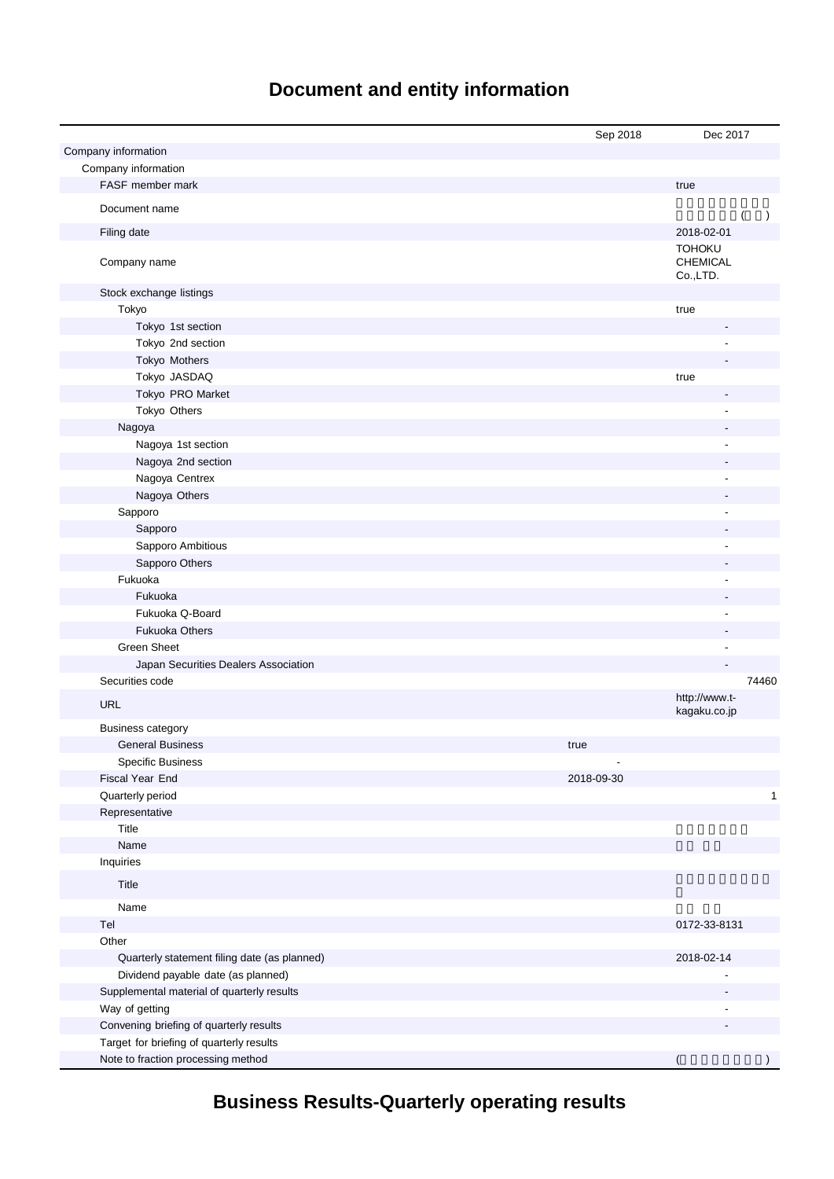# **Document and entity information**

|                                              | Sep 2018   | Dec 2017                                     |
|----------------------------------------------|------------|----------------------------------------------|
| Company information                          |            |                                              |
| Company information                          |            |                                              |
| FASF member mark                             |            | true                                         |
| Document name                                |            | $\lambda$                                    |
| Filing date                                  |            | 2018-02-01                                   |
| Company name                                 |            | <b>TOHOKU</b><br><b>CHEMICAL</b><br>Co.,LTD. |
| Stock exchange listings                      |            |                                              |
| Tokyo                                        |            | true                                         |
| Tokyo 1st section                            |            |                                              |
| Tokyo 2nd section                            |            |                                              |
| Tokyo Mothers                                |            |                                              |
| Tokyo JASDAQ                                 |            | true                                         |
| Tokyo PRO Market                             |            |                                              |
| Tokyo Others                                 |            |                                              |
| Nagoya                                       |            |                                              |
| Nagoya 1st section                           |            |                                              |
| Nagoya 2nd section                           |            |                                              |
| Nagoya Centrex                               |            |                                              |
| Nagoya Others                                |            |                                              |
| Sapporo                                      |            |                                              |
| Sapporo                                      |            |                                              |
| Sapporo Ambitious                            |            |                                              |
| Sapporo Others                               |            |                                              |
| Fukuoka                                      |            |                                              |
| Fukuoka                                      |            |                                              |
| Fukuoka Q-Board                              |            |                                              |
| <b>Fukuoka Others</b>                        |            |                                              |
| <b>Green Sheet</b>                           |            | ٠                                            |
| Japan Securities Dealers Association         |            |                                              |
| Securities code                              |            | 74460                                        |
| <b>URL</b>                                   |            | http://www.t-<br>kagaku.co.jp                |
| <b>Business category</b>                     |            |                                              |
| <b>General Business</b>                      | true       |                                              |
| Specific Business                            |            |                                              |
| Fiscal Year End                              | 2018-09-30 |                                              |
| Quarterly period                             |            | 1                                            |
| Representative                               |            |                                              |
| Title                                        |            |                                              |
| Name                                         |            |                                              |
| Inquiries                                    |            |                                              |
| Title                                        |            |                                              |
| Name                                         |            |                                              |
| Tel                                          |            | 0172-33-8131                                 |
| Other                                        |            |                                              |
| Quarterly statement filing date (as planned) |            | 2018-02-14                                   |
| Dividend payable date (as planned)           |            |                                              |
| Supplemental material of quarterly results   |            |                                              |
| Way of getting                               |            |                                              |
| Convening briefing of quarterly results      |            |                                              |
| Target for briefing of quarterly results     |            |                                              |
| Note to fraction processing method           |            | (                                            |

**Business Results-Quarterly operating results**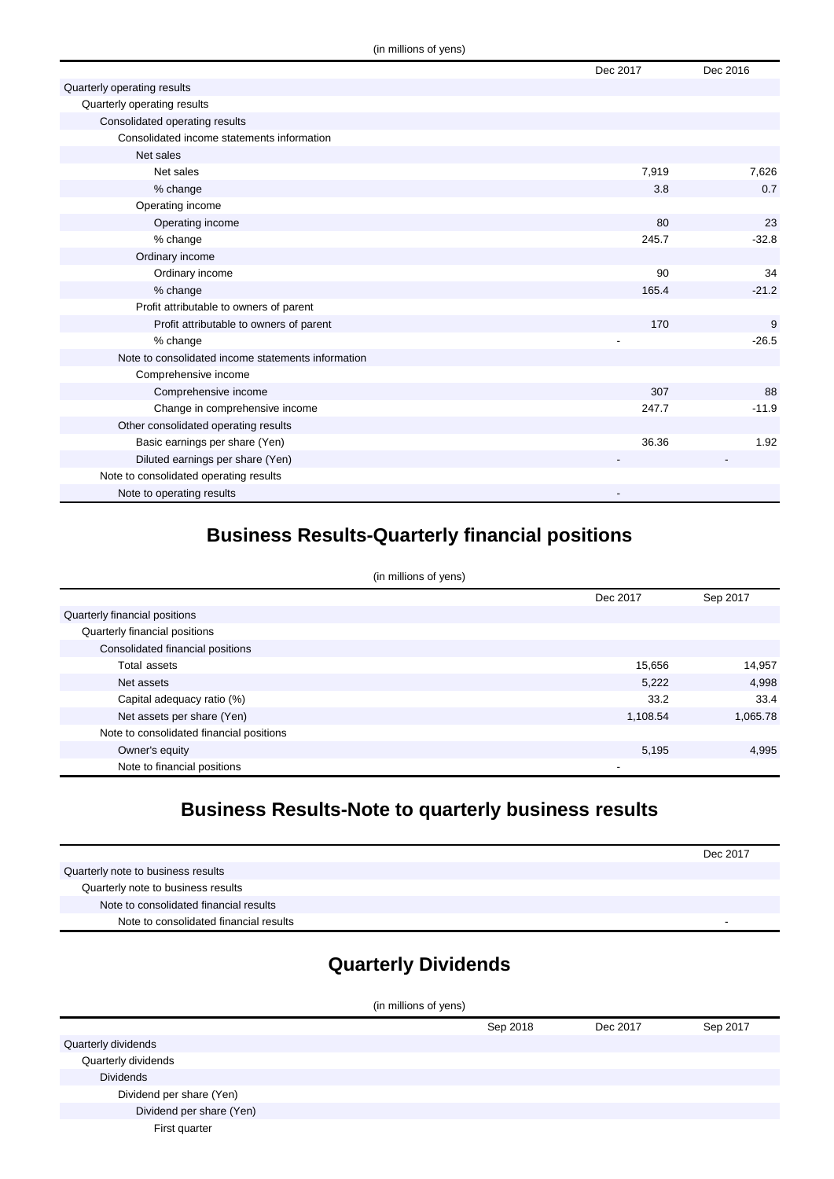|                                                    | Dec 2017 | Dec 2016 |
|----------------------------------------------------|----------|----------|
| Quarterly operating results                        |          |          |
| Quarterly operating results                        |          |          |
| Consolidated operating results                     |          |          |
| Consolidated income statements information         |          |          |
| Net sales                                          |          |          |
| Net sales                                          | 7,919    | 7,626    |
| % change                                           | 3.8      | 0.7      |
| Operating income                                   |          |          |
| Operating income                                   | 80       | 23       |
| % change                                           | 245.7    | $-32.8$  |
| Ordinary income                                    |          |          |
| Ordinary income                                    | 90       | 34       |
| % change                                           | 165.4    | $-21.2$  |
| Profit attributable to owners of parent            |          |          |
| Profit attributable to owners of parent            | 170      | 9        |
| % change                                           |          | $-26.5$  |
| Note to consolidated income statements information |          |          |
| Comprehensive income                               |          |          |
| Comprehensive income                               | 307      | 88       |
| Change in comprehensive income                     | 247.7    | $-11.9$  |
| Other consolidated operating results               |          |          |
| Basic earnings per share (Yen)                     | 36.36    | 1.92     |
| Diluted earnings per share (Yen)                   |          |          |
| Note to consolidated operating results             |          |          |
| Note to operating results                          |          |          |

## **Business Results-Quarterly financial positions**

| (in millions of yens)                    |          |          |  |
|------------------------------------------|----------|----------|--|
|                                          | Dec 2017 | Sep 2017 |  |
| Quarterly financial positions            |          |          |  |
| Quarterly financial positions            |          |          |  |
| Consolidated financial positions         |          |          |  |
| Total assets                             | 15,656   | 14,957   |  |
| Net assets                               | 5,222    | 4,998    |  |
| Capital adequacy ratio (%)               | 33.2     | 33.4     |  |
| Net assets per share (Yen)               | 1,108.54 | 1,065.78 |  |
| Note to consolidated financial positions |          |          |  |
| Owner's equity                           | 5,195    | 4,995    |  |
| Note to financial positions              |          |          |  |

## **Business Results-Note to quarterly business results**

|                                        | Dec 2017 |
|----------------------------------------|----------|
| Quarterly note to business results     |          |
| Quarterly note to business results     |          |
| Note to consolidated financial results |          |
| Note to consolidated financial results |          |

# **Quarterly Dividends**

| (in millions of yens)    |          |          |          |
|--------------------------|----------|----------|----------|
|                          | Sep 2018 | Dec 2017 | Sep 2017 |
| Quarterly dividends      |          |          |          |
| Quarterly dividends      |          |          |          |
| <b>Dividends</b>         |          |          |          |
| Dividend per share (Yen) |          |          |          |
| Dividend per share (Yen) |          |          |          |
| First quarter            |          |          |          |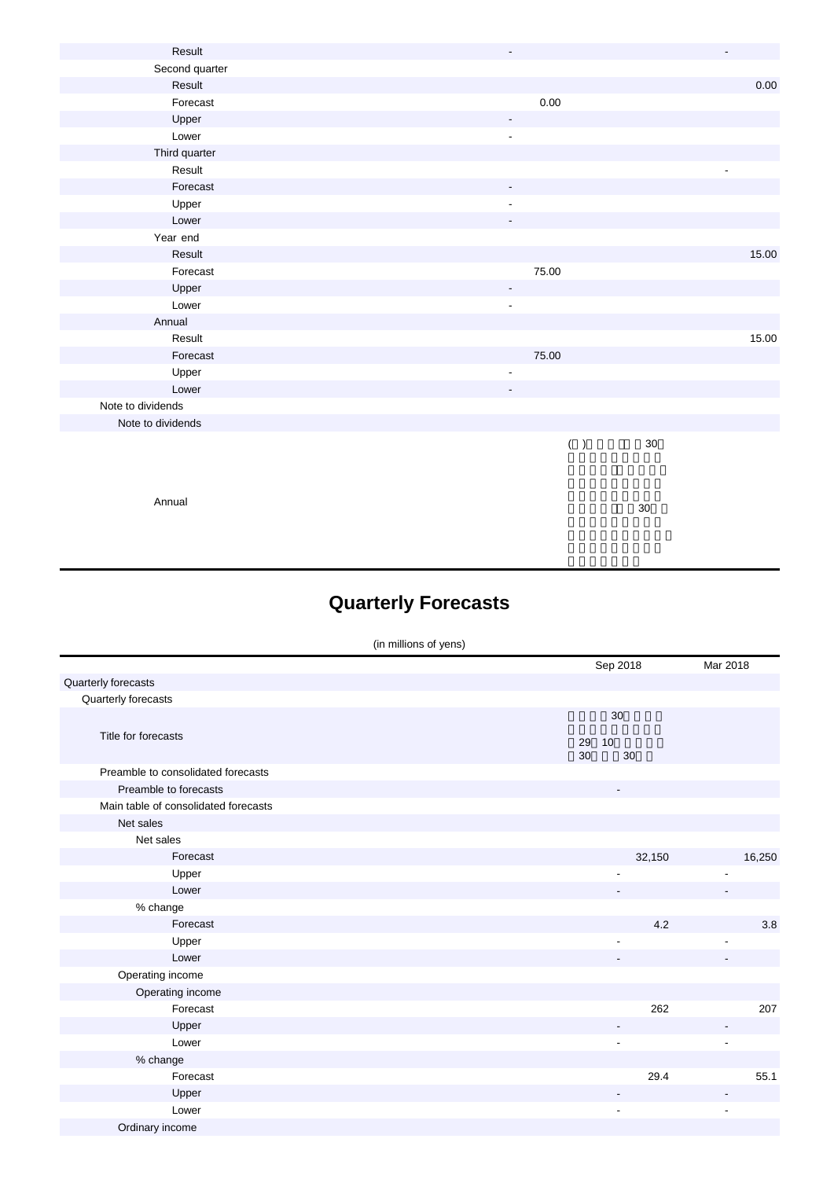| Result            | $\overline{\phantom{a}}$ | $\frac{1}{2}$ |
|-------------------|--------------------------|---------------|
| Second quarter    |                          |               |
| Result            |                          | 0.00          |
| Forecast          | $0.00\,$                 |               |
| Upper             | $\overline{\phantom{a}}$ |               |
| Lower             | $\overline{\phantom{a}}$ |               |
| Third quarter     |                          |               |
| Result            |                          |               |
| Forecast          | $\overline{\phantom{a}}$ |               |
| Upper             | $\overline{\phantom{a}}$ |               |
| Lower             |                          |               |
| Year end          |                          |               |
| Result            |                          | 15.00         |
| Forecast          | 75.00                    |               |
| Upper             | $\overline{\phantom{a}}$ |               |
| Lower             | $\overline{\phantom{a}}$ |               |
| Annual            |                          |               |
| Result            |                          | 15.00         |
| Forecast          | 75.00                    |               |
| Upper             | $\overline{\phantom{a}}$ |               |
| Lower             | $\overline{\phantom{a}}$ |               |
| Note to dividends |                          |               |
| Note to dividends |                          |               |
|                   | $30\,$<br>$(\quad)$      |               |
|                   |                          |               |
|                   |                          |               |
|                   |                          |               |

Annual

Ordinary income

## **Quarterly Forecasts**

|                                      | (in millions of yens) |                            |                          |
|--------------------------------------|-----------------------|----------------------------|--------------------------|
|                                      |                       | Sep 2018                   | Mar 2018                 |
| Quarterly forecasts                  |                       |                            |                          |
| Quarterly forecasts                  |                       |                            |                          |
| Title for forecasts                  |                       | 30<br>29<br>10<br>30<br>30 |                          |
| Preamble to consolidated forecasts   |                       |                            |                          |
| Preamble to forecasts                |                       |                            |                          |
| Main table of consolidated forecasts |                       |                            |                          |
| Net sales                            |                       |                            |                          |
| Net sales                            |                       |                            |                          |
| Forecast                             |                       | 32,150                     | 16,250                   |
| Upper                                |                       |                            |                          |
| Lower                                |                       |                            |                          |
| % change                             |                       |                            |                          |
| Forecast                             |                       | 4.2                        | 3.8                      |
| Upper                                |                       |                            | $\overline{\phantom{a}}$ |
| Lower                                |                       |                            |                          |
| Operating income                     |                       |                            |                          |
| Operating income                     |                       |                            |                          |
| Forecast                             |                       | 262                        | 207                      |
| Upper                                |                       |                            |                          |
| Lower                                |                       |                            | $\overline{\phantom{a}}$ |
| % change                             |                       |                            |                          |
| Forecast                             |                       | 29.4                       | 55.1                     |

Upper - - Lower - -

る予定で、平成30年9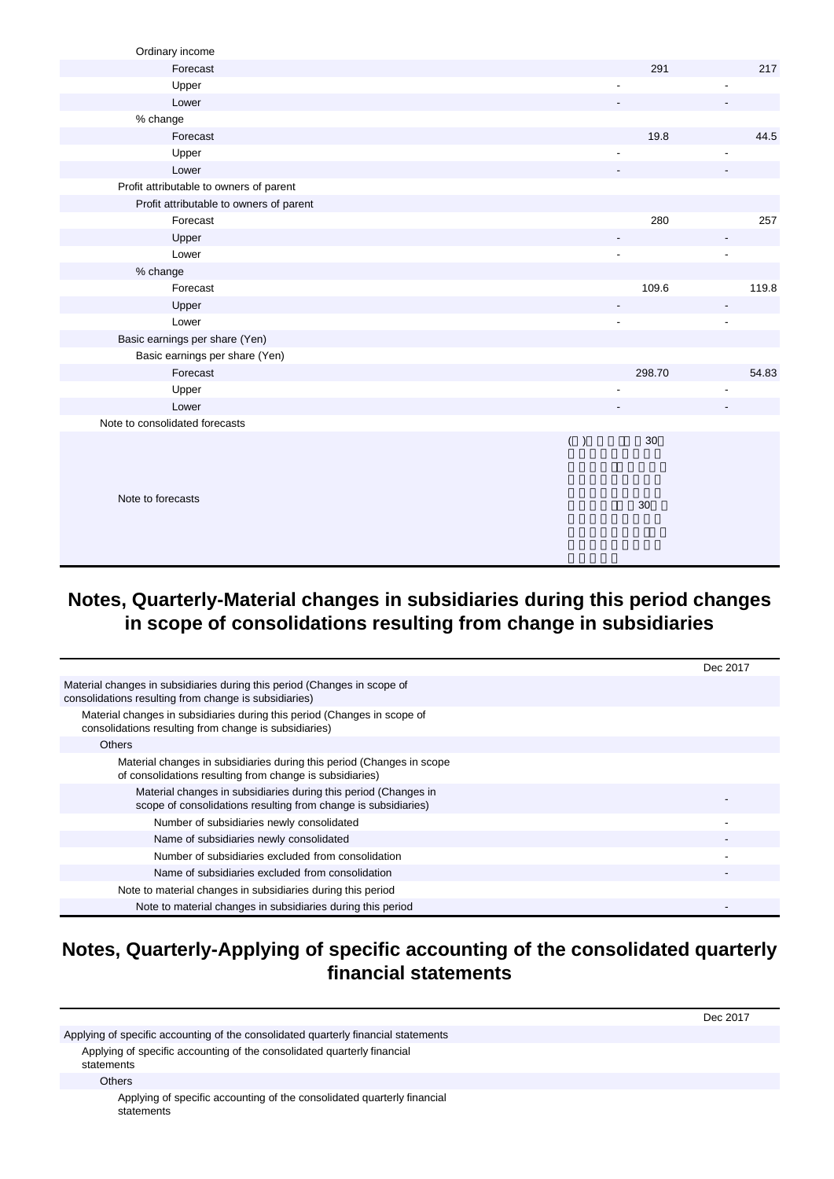| Ordinary income                         |     |        |       |
|-----------------------------------------|-----|--------|-------|
| Forecast                                |     | 291    | 217   |
| Upper                                   |     |        |       |
| Lower                                   |     |        |       |
| % change                                |     |        |       |
| Forecast                                |     | 19.8   | 44.5  |
| Upper                                   |     |        |       |
| Lower                                   |     |        |       |
| Profit attributable to owners of parent |     |        |       |
| Profit attributable to owners of parent |     |        |       |
| Forecast                                |     | 280    | 257   |
| Upper                                   |     |        |       |
| Lower                                   |     |        |       |
| % change                                |     |        |       |
| Forecast                                |     | 109.6  | 119.8 |
| Upper                                   |     |        |       |
| Lower                                   |     |        |       |
| Basic earnings per share (Yen)          |     |        |       |
| Basic earnings per share (Yen)          |     |        |       |
| Forecast                                |     | 298.70 | 54.83 |
| Upper                                   |     |        |       |
| Lower                                   |     |        |       |
| Note to consolidated forecasts          |     |        |       |
|                                         | ( ) | 30     |       |
|                                         |     |        |       |
|                                         |     |        |       |
| Note to forecasts                       |     |        |       |
|                                         |     | $30\,$ |       |
|                                         |     |        |       |
|                                         |     |        |       |
|                                         |     |        |       |

#### **Notes, Quarterly-Material changes in subsidiaries during this period changes in scope of consolidations resulting from change in subsidiaries**

|                                                                                                                                   | Dec 2017 |
|-----------------------------------------------------------------------------------------------------------------------------------|----------|
| Material changes in subsidiaries during this period (Changes in scope of<br>consolidations resulting from change is subsidiaries) |          |
| Material changes in subsidiaries during this period (Changes in scope of<br>consolidations resulting from change is subsidiaries) |          |
| <b>Others</b>                                                                                                                     |          |
| Material changes in subsidiaries during this period (Changes in scope<br>of consolidations resulting from change is subsidiaries) |          |
| Material changes in subsidiaries during this period (Changes in<br>scope of consolidations resulting from change is subsidiaries) |          |
| Number of subsidiaries newly consolidated                                                                                         |          |
| Name of subsidiaries newly consolidated                                                                                           |          |
| Number of subsidiaries excluded from consolidation                                                                                |          |
| Name of subsidiaries excluded from consolidation                                                                                  |          |
| Note to material changes in subsidiaries during this period                                                                       |          |
| Note to material changes in subsidiaries during this period                                                                       |          |

### **Notes, Quarterly-Applying of specific accounting of the consolidated quarterly financial statements**

Dec 2017 Applying of specific accounting of the consolidated quarterly financial statements Applying of specific accounting of the consolidated quarterly financial statements **Others** Applying of specific accounting of the consolidated quarterly financial statements